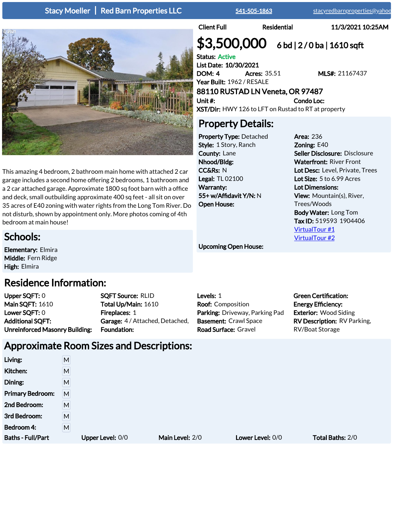### Stacy Moeller | Red Barn Properties LLC [541-505-1863](tel:541-505-1863) [stacyredbarnproperties@yahoo.c](mailto:stacyredbarnproperties@yahoo.com)om

Client Full Residential 11/3/2021 10:25AM

# $$3,500,000$  6 bd | 2/0 ba | 1610 sqft

Status: Active List Date: 10/30/2021 DOM: 4 Acres: 35.51 MLS#: 21167437 Year Built: 1962 / RESALE

### 88110 RUSTAD LN Veneta, OR 97487 Unit #: Condo Loc:

XST/Dir: HWY 126 to LFT on Rustad to RT at property

### Property Details:

Property Type: Detached Style: 1 Story, Ranch County: Lane Nhood/Bldg: CC&Rs: N Legal: TL 02100 Warranty: 55+ w/Affidavit Y/N: N Open House:

Area: 236 Zoning: E40 Seller Disclosure: Disclosure Waterfront: River Front Lot Desc: Level, Private, Trees Lot Size: 5 to 6.99 Acres Lot Dimensions: View: Mountain(s), River, Trees/Woods Body Water: Long Tom Tax ID: 519593 1904406 [VirtualTour #1](http://10.0.20.59/v2/system/propurl.asp?mlsid=21167437&typ=VIDEO_TOUR_1) [VirtualTour #2](http://10.0.20.59/v2/system/propurl.asp?mlsid=21167437&typ=VIDEO_TOUR_2)

**Green Certification: Energy Efficiency:** Exterior: Wood Siding RV Description: RV Parking,

RV/Boat Storage

### Upcoming Open House:

Upper SQFT: 0 Main SQFT: 1610 Lower SQFT: 0 Additional SQFT: Unreinforced Masonry Building: SQFT Source: RLID Total Up/Main: 1610 Fireplaces: 1 Garage: 4 / Attached, Detached, Foundation:

Levels: 1 Parking: Driveway, Parking Pad Basement: Crawl Space Road Surface: Gravel

# Approximate Room Sizes and Descriptions:

| Living:                  | M |                  |                 |                  |                         |
|--------------------------|---|------------------|-----------------|------------------|-------------------------|
| Kitchen:                 | M |                  |                 |                  |                         |
| Dining:                  | M |                  |                 |                  |                         |
| <b>Primary Bedroom:</b>  | M |                  |                 |                  |                         |
| 2nd Bedroom:             | M |                  |                 |                  |                         |
| 3rd Bedroom:             | M |                  |                 |                  |                         |
| Bedroom 4:               | M |                  |                 |                  |                         |
| <b>Baths - Full/Part</b> |   | Upper Level: 0/0 | Main Level: 2/0 | Lower Level: 0/0 | <b>Total Baths: 2/0</b> |



This amazing 4 bedroom, 2 bathroom main home with attached 2 car garage includes a second home offering 2 bedrooms, 1 bathroom and a 2 car attached garage. Approximate 1800 sq foot barn with a office and deck, small outbuilding approximate 400 sq feet - all sit on over 35 acres of E40 zoning with water rights from the Long Tom River. Do not disturb, shown by appointment only. More photos coming of 4th bedroom at main house!

### Schools:

Elementary: Elmira Middle: Fern Ridge High: Elmira

## Residence Information:

Roof: Composition